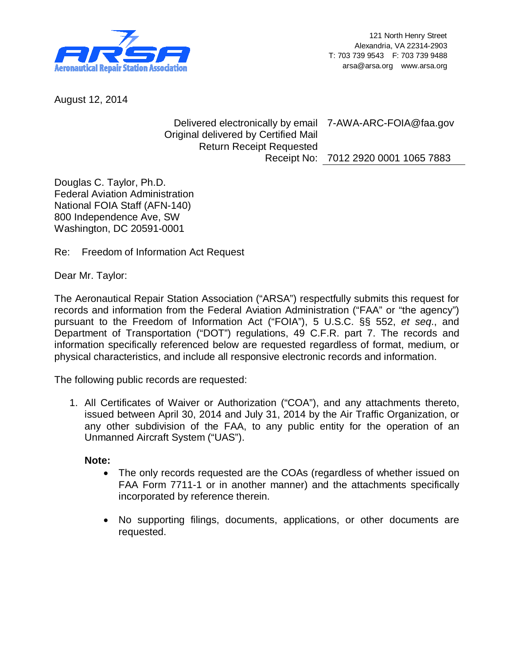

August 12, 2014

Delivered electronically by email 7-AWA-ARC-FOIA@faa.gov Original delivered by Certified Mail Return Receipt Requested Receipt No: 7012 2920 0001 1065 7883

Douglas C. Taylor, Ph.D. Federal Aviation Administration National FOIA Staff (AFN-140) 800 Independence Ave, SW Washington, DC 20591-0001

Re: Freedom of Information Act Request

Dear Mr. Taylor:

The Aeronautical Repair Station Association ("ARSA") respectfully submits this request for records and information from the Federal Aviation Administration ("FAA" or "the agency") pursuant to the Freedom of Information Act ("FOIA"), 5 U.S.C. §§ 552, *et seq*., and Department of Transportation ("DOT") regulations, 49 C.F.R. part 7. The records and information specifically referenced below are requested regardless of format, medium, or physical characteristics, and include all responsive electronic records and information.

The following public records are requested:

1. All Certificates of Waiver or Authorization ("COA"), and any attachments thereto, issued between April 30, 2014 and July 31, 2014 by the Air Traffic Organization, or any other subdivision of the FAA, to any public entity for the operation of an Unmanned Aircraft System ("UAS").

## **Note:**

- The only records requested are the COAs (regardless of whether issued on FAA Form 7711-1 or in another manner) and the attachments specifically incorporated by reference therein.
- No supporting filings, documents, applications, or other documents are requested.